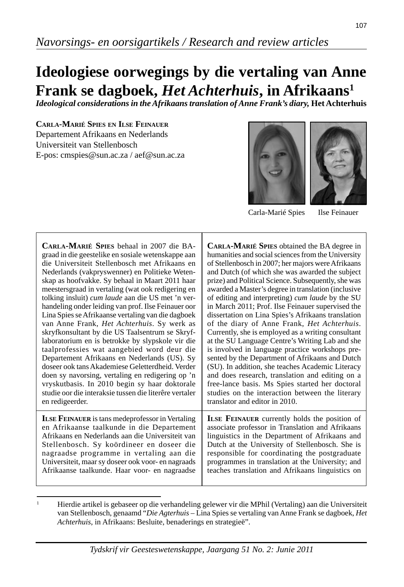# **Ideologiese oorwegings by die vertaling van Anne Frank se dagboek,** *Het Achterhuis***, in Afrikaans1**

*Ideological considerations in the Afrikaans translation of Anne Frank's diary,* **Het Achterhuis**

**CARLA-MARIÉ SPIES EN ILSE FEINAUER** Departement Afrikaans en Nederlands Universiteit van Stellenbosch E-pos: cmspies@sun.ac.za / aef@sun.ac.za





Carla-Marié Spies Ilse Feinauer

| CARLA-MARIÉ SPIES behaal in 2007 die BA-                | <b>CARLA-MARIÉ SPIES</b> obtained the BA degree in   |
|---------------------------------------------------------|------------------------------------------------------|
| graad in die geestelike en sosiale wetenskappe aan      | humanities and social sciences from the University   |
| die Universiteit Stellenbosch met Afrikaans en          | of Stellenbosch in 2007; her majors were Afrikaans   |
| Nederlands (vakpryswenner) en Politieke Weten-          | and Dutch (of which she was awarded the subject      |
| skap as hoofvakke. Sy behaal in Maart 2011 haar         | prize) and Political Science. Subsequently, she was  |
| meestersgraad in vertaling (wat ook redigering en       | awarded a Master's degree in translation (inclusive  |
| tolking insluit) cum laude aan die US met 'n ver-       | of editing and interpreting) cum laude by the SU     |
| handeling onder leiding van prof. Ilse Feinauer oor     | in March 2011; Prof. Ilse Feinauer supervised the    |
| Lina Spies se Afrikaanse vertaling van die dagboek      | dissertation on Lina Spies's Afrikaans translation   |
| van Anne Frank, Het Achterhuis. Sy werk as              | of the diary of Anne Frank, Het Achterhuis.          |
| skryfkonsultant by die US Taalsentrum se Skryf-         | Currently, she is employed as a writing consultant   |
| laboratorium en is betrokke by slypskole vir die        | at the SU Language Centre's Writing Lab and she      |
| taalprofessies wat aangebied word deur die              | is involved in language practice workshops pre-      |
| Departement Afrikaans en Nederlands (US). Sy            | sented by the Department of Afrikaans and Dutch      |
| doseer ook tans Akademiese Geletterdheid. Verder        | (SU). In addition, she teaches Academic Literacy     |
| doen sy navorsing, vertaling en redigering op 'n        | and does research, translation and editing on a      |
| vryskutbasis. In 2010 begin sy haar doktorale           | free-lance basis. Ms Spies started her doctoral      |
| studie oor die interaksie tussen die literêre vertaler  | studies on the interaction between the literary      |
| en redigeerder.                                         | translator and editor in 2010.                       |
| <b>ILSE FEINAUER</b> is tans medeprofessor in Vertaling | <b>ILSE FEINAUER</b> currently holds the position of |
| en Afrikaanse taalkunde in die Departement              | associate professor in Translation and Afrikaans     |
| Afrikaans en Nederlands aan die Universiteit van        | linguistics in the Department of Afrikaans and       |
| Stellenbosch. Sy koördineer en doseer die               | Dutch at the University of Stellenbosch. She is      |
| nagraadse programme in vertaling aan die                | responsible for coordinating the postgraduate        |
| Universiteit, maar sy doseer ook voor- en nagraads      | programmes in translation at the University; and     |
| Afrikaanse taalkunde. Haar voor- en nagraadse           | teaches translation and Afrikaans linguistics on     |

<sup>1</sup> Hierdie artikel is gebaseer op die verhandeling gelewer vir die MPhil (Vertaling) aan die Universiteit van Stellenbosch, genaamd "*Die Agterhuis* – Lina Spies se vertaling van Anne Frank se dagboek, *Het Achterhuis*, in Afrikaans: Besluite, benaderings en strategieë".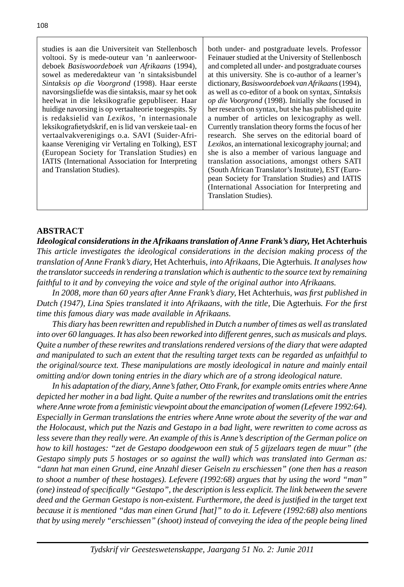studies is aan die Universiteit van Stellenbosch voltooi. Sy is mede-outeur van 'n aanleerwoordeboek *Basiswoordeboek van Afrikaans* (1994), sowel as mederedakteur van 'n sintaksisbundel *Sintaksis op die Voorgrond* (1998). Haar eerste navorsingsliefde was die sintaksis, maar sy het ook heelwat in die leksikografie gepubliseer. Haar huidige navorsing is op vertaalteorie toegespits. Sy is redaksielid van *Lexikos*, 'n internasionale leksikografietydskrif, en is lid van verskeie taal- en vertaalvakverenigings o.a. SAVI (Suider-Afrikaanse Vereniging vir Vertaling en Tolking), EST (European Society for Translation Studies) en IATIS (International Association for Interpreting and Translation Studies).

both under- and postgraduate levels. Professor Feinauer studied at the University of Stellenbosch and completed all under- and postgraduate courses at this university. She is co-author of a learner's dictionary, *Basiswoordeboek van Afrikaans* (1994), as well as co-editor of a book on syntax, *Sintaksis op die Voorgrond* (1998). Initially she focused in her research on syntax, but she has published quite a number of articles on lexicography as well. Currently translation theory forms the focus of her research. She serves on the editorial board of *Lexikos*, an international lexicography journal; and she is also a member of various language and translation associations, amongst others SATI (South African Translator's Institute), EST (European Society for Translation Studies) and IATIS (International Association for Interpreting and Translation Studies).

# **ABSTRACT**

*Ideological considerations in the Afrikaans translation of Anne Frank's diary,* **Het Achterhuis** *This article investigates the ideological considerations in the decision making process of the translation of Anne Frank's diary,* Het Achterhuis*, into Afrikaans,* Die Agterhuis*. It analyses how the translator succeeds in rendering a translation which is authentic to the source text by remaining faithful to it and by conveying the voice and style of the original author into Afrikaans.*

 *In 2008, more than 60 years after Anne Frank's diary,* Het Achterhuis*, was fi rst published in Dutch (1947), Lina Spies translated it into Afrikaans, with the title, Die Agterhuis. For the first time this famous diary was made available in Afrikaans.*

 *This diary has been rewritten and republished in Dutch a number of times as well as translated into over 60 languages. It has also been reworked into different genres, such as musicals and plays. Quite a number of these rewrites and translations rendered versions of the diary that were adapted and manipulated to such an extent that the resulting target texts can be regarded as unfaithful to the original/source text. These manipulations are mostly ideological in nature and mainly entail omitting and/or down toning entries in the diary which are of a strong ideological nature.*

 *In his adaptation of the diary, Anne's father, Otto Frank, for example omits entries where Anne depicted her mother in a bad light. Quite a number of the rewrites and translations omit the entries where Anne wrote from a feministic viewpoint about the emancipation of women (Lefevere 1992:64). Especially in German translations the entries where Anne wrote about the severity of the war and the Holocaust, which put the Nazis and Gestapo in a bad light, were rewritten to come across as less severe than they really were. An example of this is Anne's description of the German police on how to kill hostages: "zet de Gestapo doodgewoon een stuk of 5 gijzelaars tegen de muur" (the Gestapo simply puts 5 hostages or so against the wall) which was translated into German as: "dann hat man einen Grund, eine Anzahl dieser Geiseln zu erschiessen" (one then has a reason to shoot a number of these hostages). Lefevere (1992:68) argues that by using the word "man" (one) instead of specifi cally "Gestapo", the description is less explicit. The link between the severe deed and the German Gestapo is non-existent. Furthermore, the deed is justifi ed in the target text because it is mentioned "das man einen Grund [hat]" to do it. Lefevere (1992:68) also mentions that by using merely "erschiessen" (shoot) instead of conveying the idea of the people being lined*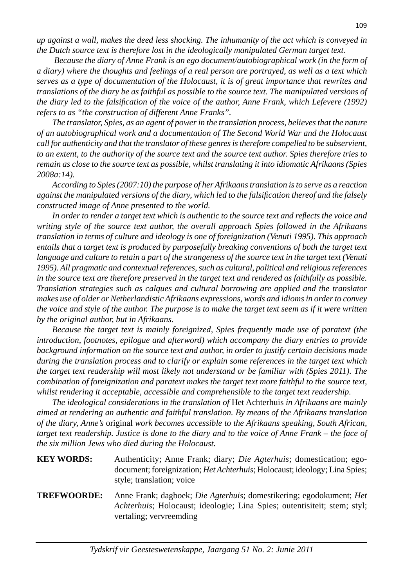*up against a wall, makes the deed less shocking. The inhumanity of the act which is conveyed in the Dutch source text is therefore lost in the ideologically manipulated German target text.* 

 *Because the diary of Anne Frank is an ego document/autobiographical work (in the form of a diary) where the thoughts and feelings of a real person are portrayed, as well as a text which serves as a type of documentation of the Holocaust, it is of great importance that rewrites and translations of the diary be as faithful as possible to the source text. The manipulated versions of the diary led to the falsification of the voice of the author, Anne Frank, which Lefevere (1992) refers to as "the construction of different Anne Franks".*

 *The translator, Spies, as an agent of power in the translation process, believes that the nature of an autobiographical work and a documentation of The Second World War and the Holocaust call for authenticity and that the translator of these genres is therefore compelled to be subservient, to an extent, to the authority of the source text and the source text author. Spies therefore tries to remain as close to the source text as possible, whilst translating it into idiomatic Afrikaans (Spies 2008a:14).*

 *According to Spies (2007:10) the purpose of her Afrikaans translation is to serve as a reaction against the manipulated versions of the diary, which led to the falsifi cation thereof and the falsely constructed image of Anne presented to the world.*

 *In order to render a target text which is authentic to the source text and refl ects the voice and writing style of the source text author, the overall approach Spies followed in the Afrikaans translation in terms of culture and ideology is one of foreignization (Venuti 1995). This approach entails that a target text is produced by purposefully breaking conventions of both the target text*  language and culture to retain a part of the strangeness of the source text in the target text (Venuti *1995). All pragmatic and contextual references, such as cultural, political and religious references in the source text are therefore preserved in the target text and rendered as faithfully as possible. Translation strategies such as calques and cultural borrowing are applied and the translator makes use of older or Netherlandistic Afrikaans expressions, words and idioms in order to convey the voice and style of the author. The purpose is to make the target text seem as if it were written by the original author, but in Afrikaans.*

 *Because the target text is mainly foreignized, Spies frequently made use of paratext (the introduction, footnotes, epilogue and afterword) which accompany the diary entries to provide background information on the source text and author, in order to justify certain decisions made during the translation process and to clarify or explain some references in the target text which the target text readership will most likely not understand or be familiar with (Spies 2011). The combination of foreignization and paratext makes the target text more faithful to the source text, whilst rendering it acceptable, accessible and comprehensible to the target text readership.*

 *The ideological considerations in the translation of* Het Achterhuis *in Afrikaans are mainly aimed at rendering an authentic and faithful translation. By means of the Afrikaans translation of the diary, Anne's* original *work becomes accessible to the Afrikaans speaking, South African, target text readership. Justice is done to the diary and to the voice of Anne Frank – the face of the six million Jews who died during the Holocaust.* 

| <b>KEY WORDS:</b> | Authenticity; Anne Frank; diary; <i>Die Agterhuis</i> ; domestication; ego-        |
|-------------------|------------------------------------------------------------------------------------|
|                   | document; foreignization; <i>Het Achterhuis</i> ; Holocaust; ideology; Lina Spies; |
|                   | style; translation; voice                                                          |

## **TREFWOORDE:** Anne Frank; dagboek; *Die Agterhuis*; domestikering; egodokument; *Het Achterhuis*; Holocaust; ideologie; Lina Spies; outentisiteit; stem; styl; vertaling; vervreemding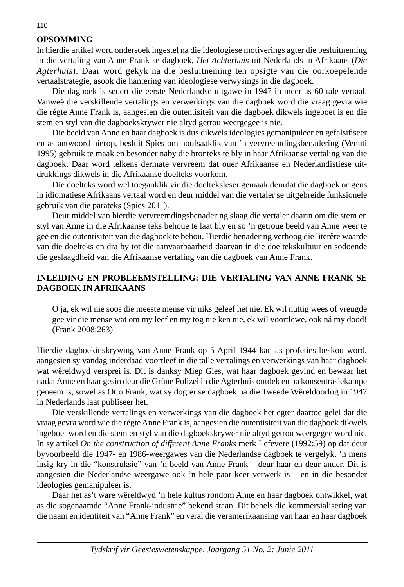# **OPSOMMING**

In hierdie artikel word ondersoek ingestel na die ideologiese motiverings agter die besluitneming in die vertaling van Anne Frank se dagboek, *Het Achterhuis* uit Nederlands in Afrikaans (*Die Agterhuis*). Daar word gekyk na die besluitneming ten opsigte van die oorkoepelende vertaalstrategie, asook die hantering van ideologiese verwysings in die dagboek.

 Die dagboek is sedert die eerste Nederlandse uitgawe in 1947 in meer as 60 tale vertaal. Vanweë die verskillende vertalings en verwerkings van die dagboek word die vraag gevra wie die régte Anne Frank is, aangesien die outentisiteit van die dagboek dikwels ingeboet is en die stem en styl van die dagboekskrywer nie altyd getrou weergegee is nie.

Die beeld van Anne en haar dagboek is dus dikwels ideologies gemanipuleer en gefalsifiseer en as antwoord hierop, besluit Spies om hoofsaaklik van 'n vervreemdingsbenadering (Venuti 1995) gebruik te maak en besonder naby die bronteks te bly in haar Afrikaanse vertaling van die dagboek. Daar word telkens dermate vervreem dat ouer Afrikaanse en Nederlandistiese uitdrukkings dikwels in die Afrikaanse doelteks voorkom.

 Die doelteks word wel toeganklik vir die doelteksleser gemaak deurdat die dagboek origens in idiomatiese Afrikaans vertaal word en deur middel van die vertaler se uitgebreide funksionele gebruik van die parateks (Spies 2011).

 Deur middel van hierdie vervreemdingsbenadering slaag die vertaler daarin om die stem en styl van Anne in die Afrikaanse teks behoue te laat bly en so 'n getroue beeld van Anne weer te gee en die outentisiteit van die dagboek te behou. Hierdie benadering verhoog die literêre waarde van die doelteks en dra by tot die aanvaarbaarheid daarvan in die doeltekskultuur en sodoende die geslaagdheid van die Afrikaanse vertaling van die dagboek van Anne Frank.

## **INLEIDING EN PROBLEEMSTELLING: DIE VERTALING VAN ANNE FRANK SE DAGBOEK IN AFRIKAANS**

 O ja, ek wil nie soos die meeste mense vir niks geleef het nie. Ek wil nuttig wees of vreugde gee vir die mense wat om my leef en my tog nie ken nie, ek wil voortlewe, ook ná my dood! (Frank 2008:263)

Hierdie dagboekinskrywing van Anne Frank op 5 April 1944 kan as profeties beskou word, aangesien sy vandag inderdaad voortleef in die talle vertalings en verwerkings van haar dagboek wat wêreldwyd versprei is. Dit is danksy Miep Gies, wat haar dagboek gevind en bewaar het nadat Anne en haar gesin deur die Grüne Polizei in die Agterhuis ontdek en na konsentrasiekampe geneem is, sowel as Otto Frank, wat sy dogter se dagboek na die Tweede Wêreldoorlog in 1947 in Nederlands laat publiseer het.

 Die verskillende vertalings en verwerkings van die dagboek het egter daartoe gelei dat die vraag gevra word wie die régte Anne Frank is, aangesien die outentisiteit van die dagboek dikwels ingeboet word en die stem en styl van die dagboekskrywer nie altyd getrou weergegee word nie. In sy artikel *On the construction of different Anne Franks* merk Lefevere (1992:59) op dat deur byvoorbeeld die 1947- en 1986-weergawes van die Nederlandse dagboek te vergelyk, 'n mens insig kry in die "konstruksie" van 'n beeld van Anne Frank – deur haar en deur ander. Dit is aangesien die Nederlandse weergawe ook 'n hele paar keer verwerk is – en in die besonder ideologies gemanipuleer is.

 Daar het as't ware wêreldwyd 'n hele kultus rondom Anne en haar dagboek ontwikkel, wat as die sogenaamde "Anne Frank-industrie" bekend staan. Dit behels die kommersialisering van die naam en identiteit van "Anne Frank" en veral die veramerikaansing van haar en haar dagboek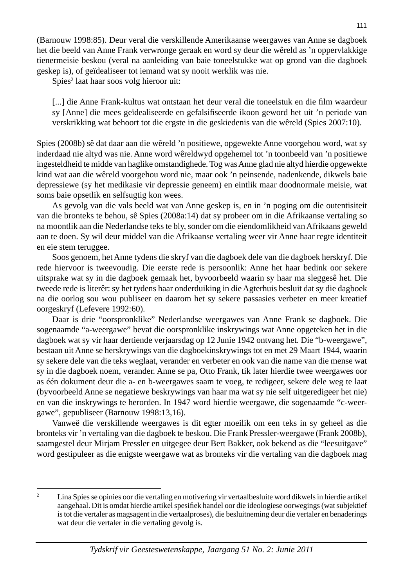(Barnouw 1998:85). Deur veral die verskillende Amerikaanse weergawes van Anne se dagboek het die beeld van Anne Frank verwronge geraak en word sy deur die wêreld as 'n oppervlakkige tienermeisie beskou (veral na aanleiding van baie toneelstukke wat op grond van die dagboek geskep is), of geïdealiseer tot iemand wat sy nooit werklik was nie.

Spies<sup>2</sup> laat haar soos volg hieroor uit:

[...] die Anne Frank-kultus wat ontstaan het deur veral die toneelstuk en die film waardeur sy [Anne] die mees geïdealiseerde en gefalsifiseerde ikoon geword het uit 'n periode van verskrikking wat behoort tot die ergste in die geskiedenis van die wêreld (Spies 2007:10).

Spies (2008b) sê dat daar aan die wêreld 'n positiewe, opgewekte Anne voorgehou word, wat sy inderdaad nie altyd was nie. Anne word wêreldwyd opgehemel tot 'n toonbeeld van 'n positiewe ingesteldheid te midde van haglike omstandighede. Tog was Anne glad nie altyd hierdie opgewekte kind wat aan die wêreld voorgehou word nie, maar ook 'n peinsende, nadenkende, dikwels baie depressiewe (sy het medikasie vir depressie geneem) en eintlik maar doodnormale meisie, wat soms baie opsetlik en selfsugtig kon wees.

 As gevolg van die vals beeld wat van Anne geskep is, en in 'n poging om die outentisiteit van die bronteks te behou, sê Spies (2008a:14) dat sy probeer om in die Afrikaanse vertaling so na moontlik aan die Nederlandse teks te bly, sonder om die eiendomlikheid van Afrikaans geweld aan te doen. Sy wil deur middel van die Afrikaanse vertaling weer vir Anne haar regte identiteit en eie stem teruggee.

 Soos genoem, het Anne tydens die skryf van die dagboek dele van die dagboek herskryf. Die rede hiervoor is tweevoudig. Die eerste rede is persoonlik: Anne het haar bedink oor sekere uitsprake wat sy in die dagboek gemaak het, byvoorbeeld waarin sy haar ma sleggesê het. Die tweede rede is literêr: sy het tydens haar onderduiking in die Agterhuis besluit dat sy die dagboek na die oorlog sou wou publiseer en daarom het sy sekere passasies verbeter en meer kreatief oorgeskryf (Lefevere 1992:60).

 Daar is drie "oorspronklike" Nederlandse weergawes van Anne Frank se dagboek. Die sogenaamde "a-weergawe" bevat die oorspronklike inskrywings wat Anne opgeteken het in die dagboek wat sy vir haar dertiende verjaarsdag op 12 Junie 1942 ontvang het. Die "b-weergawe", bestaan uit Anne se herskrywings van die dagboekinskrywings tot en met 29 Maart 1944, waarin sy sekere dele van die teks weglaat, verander en verbeter en ook van die name van die mense wat sy in die dagboek noem, verander. Anne se pa, Otto Frank, tik later hierdie twee weergawes oor as één dokument deur die a- en b-weergawes saam te voeg, te redigeer, sekere dele weg te laat (byvoorbeeld Anne se negatiewe beskrywings van haar ma wat sy nie self uitgeredigeer het nie) en van die inskrywings te herorden. In 1947 word hierdie weergawe, die sogenaamde "c-weergawe", gepubliseer (Barnouw 1998:13,16).

 Vanweë die verskillende weergawes is dit egter moeilik om een teks in sy geheel as die bronteks vir 'n vertaling van die dagboek te beskou. Die Frank Pressler-weergawe (Frank 2008b), saamgestel deur Mirjam Pressler en uitgegee deur Bert Bakker, ook bekend as die "leesuitgave" word gestipuleer as die enigste weergawe wat as bronteks vir die vertaling van die dagboek mag

 $\overline{2}$  Lina Spies se opinies oor die vertaling en motivering vir vertaalbesluite word dikwels in hierdie artikel aangehaal. Dit is omdat hierdie artikel spesifiek handel oor die ideologiese oorwegings (wat subjektief is tot die vertaler as magsagent in die vertaalproses), die besluitneming deur die vertaler en benaderings wat deur die vertaler in die vertaling gevolg is.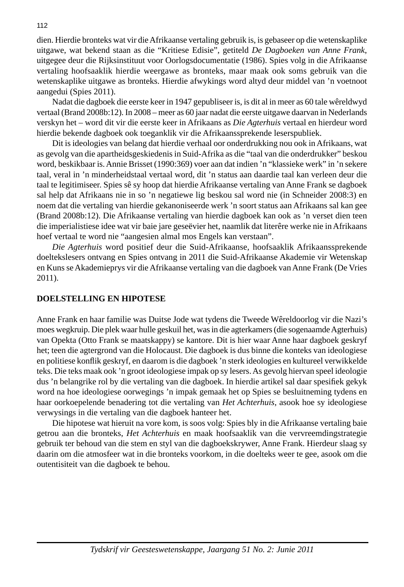dien. Hierdie bronteks wat vir die Afrikaanse vertaling gebruik is, is gebaseer op die wetenskaplike uitgawe, wat bekend staan as die "Kritiese Edisie", getiteld *De Dagboeken van Anne Frank*, uitgegee deur die Rijksinstituut voor Oorlogsdocumentatie (1986). Spies volg in die Afrikaanse vertaling hoofsaaklik hierdie weergawe as bronteks, maar maak ook soms gebruik van die wetenskaplike uitgawe as bronteks. Hierdie afwykings word altyd deur middel van 'n voetnoot aangedui (Spies 2011).

 Nadat die dagboek die eerste keer in 1947 gepubliseer is, is dit al in meer as 60 tale wêreldwyd vertaal (Brand 2008b:12). In 2008 – meer as 60 jaar nadat die eerste uitgawe daarvan in Nederlands verskyn het – word dit vir die eerste keer in Afrikaans as *Die Agterhuis* vertaal en hierdeur word hierdie bekende dagboek ook toeganklik vir die Afrikaanssprekende leserspubliek.

 Dit is ideologies van belang dat hierdie verhaal oor onderdrukking nou ook in Afrikaans, wat as gevolg van die apartheidsgeskiedenis in Suid-Afrika as die "taal van die onderdrukker" beskou word, beskikbaar is. Annie Brisset (1990:369) voer aan dat indien 'n "klassieke werk" in 'n sekere taal, veral in 'n minderheidstaal vertaal word, dit 'n status aan daardie taal kan verleen deur die taal te legitimiseer. Spies sê sy hoop dat hierdie Afrikaanse vertaling van Anne Frank se dagboek sal help dat Afrikaans nie in so 'n negatiewe lig beskou sal word nie (in Schneider 2008:3) en noem dat die vertaling van hierdie gekanoniseerde werk 'n soort status aan Afrikaans sal kan gee (Brand 2008b:12). Die Afrikaanse vertaling van hierdie dagboek kan ook as 'n verset dien teen die imperialistiese idee wat vir baie jare geseëvier het, naamlik dat literêre werke nie in Afrikaans hoef vertaal te word nie "aangesien almal mos Engels kan verstaan".

 *Die Agterhuis* word positief deur die Suid-Afrikaanse, hoofsaaklik Afrikaanssprekende doeltekslesers ontvang en Spies ontvang in 2011 die Suid-Afrikaanse Akademie vir Wetenskap en Kuns se Akademieprys vir die Afrikaanse vertaling van die dagboek van Anne Frank (De Vries 2011).

#### **DOELSTELLING EN HIPOTESE**

Anne Frank en haar familie was Duitse Jode wat tydens die Tweede Wêreldoorlog vir die Nazi's moes wegkruip. Die plek waar hulle geskuil het, was in die agterkamers (die sogenaamde Agterhuis) van Opekta (Otto Frank se maatskappy) se kantore. Dit is hier waar Anne haar dagboek geskryf het; teen die agtergrond van die Holocaust. Die dagboek is dus binne die konteks van ideologiese en politiese konflik geskryf, en daarom is die dagboek 'n sterk ideologies en kultureel verwikkelde teks. Die teks maak ook 'n groot ideologiese impak op sy lesers. As gevolg hiervan speel ideologie dus 'n belangrike rol by die vertaling van die dagboek. In hierdie artikel sal daar spesifiek gekyk word na hoe ideologiese oorwegings 'n impak gemaak het op Spies se besluitneming tydens en haar oorkoepelende benadering tot die vertaling van *Het Achterhuis*, asook hoe sy ideologiese verwysings in die vertaling van die dagboek hanteer het.

 Die hipotese wat hieruit na vore kom, is soos volg: Spies bly in die Afrikaanse vertaling baie getrou aan die bronteks, *Het Achterhuis* en maak hoofsaaklik van die vervreemdingstrategie gebruik ter behoud van die stem en styl van die dagboekskrywer, Anne Frank. Hierdeur slaag sy daarin om die atmosfeer wat in die bronteks voorkom, in die doelteks weer te gee, asook om die outentisiteit van die dagboek te behou.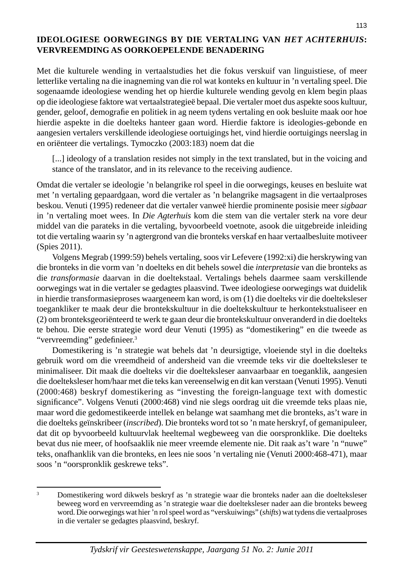# **IDEOLOGIESE OORWEGINGS BY DIE VERTALING VAN** *HET ACHTERHUIS***: VERVREEMDING AS OORKOEPELENDE BENADERING**

Met die kulturele wending in vertaalstudies het die fokus verskuif van linguistiese, of meer letterlike vertaling na die inagneming van die rol wat konteks en kultuur in 'n vertaling speel. Die sogenaamde ideologiese wending het op hierdie kulturele wending gevolg en klem begin plaas op die ideologiese faktore wat vertaalstrategieë bepaal. Die vertaler moet dus aspekte soos kultuur, gender, geloof, demografie en politiek in ag neem tydens vertaling en ook besluite maak oor hoe hierdie aspekte in die doelteks hanteer gaan word. Hierdie faktore is ideologies-gebonde en aangesien vertalers verskillende ideologiese oortuigings het, vind hierdie oortuigings neerslag in en oriënteer die vertalings. Tymoczko (2003:183) noem dat die

[...] ideology of a translation resides not simply in the text translated, but in the voicing and stance of the translator, and in its relevance to the receiving audience.

Omdat die vertaler se ideologie 'n belangrike rol speel in die oorwegings, keuses en besluite wat met 'n vertaling gepaardgaan, word die vertaler as 'n belangrike magsagent in die vertaalproses beskou. Venuti (1995) redeneer dat die vertaler vanweë hierdie prominente posisie meer *sigbaar*  in 'n vertaling moet wees. In *Die Agterhuis* kom die stem van die vertaler sterk na vore deur middel van die parateks in die vertaling, byvoorbeeld voetnote, asook die uitgebreide inleiding tot die vertaling waarin sy 'n agtergrond van die bronteks verskaf en haar vertaalbesluite motiveer (Spies 2011).

 Volgens Megrab (1999:59) behels vertaling, soos vir Lefevere (1992:xi) die herskrywing van die bronteks in die vorm van 'n doelteks en dit behels sowel die *interpretasie* van die bronteks as die *transformasie* daarvan in die doeltekstaal. Vertalings behels daarmee saam verskillende oorwegings wat in die vertaler se gedagtes plaasvind. Twee ideologiese oorwegings wat duidelik in hierdie transformasie proses waargeneem kan word, is om (1) die doelteks vir die doelteksleser toegankliker te maak deur die brontekskultuur in die doeltekskultuur te herkontekstualiseer en (2) om bronteks georiënteerd te werk te gaan deur die brontekskultuur onveranderd in die doelteks te behou. Die eerste strategie word deur Venuti (1995) as "domestikering" en die tweede as "vervreemding" gedefinieer.<sup>3</sup>

 Domestikering is 'n strategie wat behels dat 'n deursigtige, vloeiende styl in die doelteks gebruik word om die vreemdheid of andersheid van die vreemde teks vir die doelteksleser te minimaliseer. Dit maak die doelteks vir die doelteksleser aanvaarbaar en toeganklik, aangesien die doelteksleser hom/haar met die teks kan vereenselwig en dit kan verstaan (Venuti 1995). Venuti (2000:468) beskryf domestikering as "investing the foreign-language text with domestic significance". Volgens Venuti (2000:468) vind nie slegs oordrag uit die vreemde teks plaas nie, maar word die gedomestikeerde intellek en belange wat saamhang met die bronteks, as't ware in die doelteks geïnskribeer (*inscribed*). Die bronteks word tot so 'n mate herskryf, of gemanipuleer, dat dit op byvoorbeeld kultuurvlak heeltemal wegbeweeg van die oorspronklike. Die doelteks bevat dus nie meer, of hoofsaaklik nie meer vreemde elemente nie. Dit raak as't ware 'n "nuwe" teks, onafhanklik van die bronteks, en lees nie soos 'n vertaling nie (Venuti 2000:468-471), maar soos 'n "oorspronklik geskrewe teks".

<sup>3</sup> Domestikering word dikwels beskryf as 'n strategie waar die bronteks nader aan die doelteksleser beweeg word en vervreemding as 'n strategie waar die doelteksleser nader aan die bronteks beweeg word. Die oorwegings wat hier 'n rol speel word as "verskuiwings" (*shifts*) wat tydens die vertaalproses in die vertaler se gedagtes plaasvind, beskryf.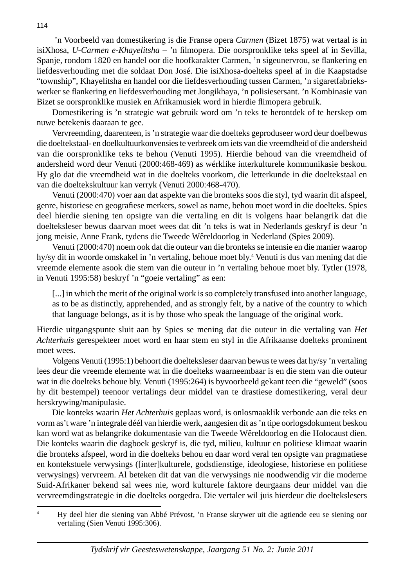'n Voorbeeld van domestikering is die Franse opera *Carmen* (Bizet 1875) wat vertaal is in isiXhosa, *U-Carmen e-Khayelitsha* – 'n filmopera. Die oorspronklike teks speel af in Sevilla, Spanje, rondom 1820 en handel oor die hoofkarakter Carmen, 'n sigeunervrou, se flankering en liefdesverhouding met die soldaat Don José. Die isiXhosa-doelteks speel af in die Kaapstadse "township", Khayelitsha en handel oor die liefdesverhouding tussen Carmen, 'n sigaretfabriekswerker se flankering en liefdesverhouding met Jongikhaya, 'n polisiesersant. 'n Kombinasie van Bizet se oorspronklike musiek en Afrikamusiek word in hierdie flimopera gebruik.

 Domestikering is 'n strategie wat gebruik word om 'n teks te herontdek of te herskep om nuwe betekenis daaraan te gee.

 Vervreemding, daarenteen, is 'n strategie waar die doelteks geproduseer word deur doelbewus die doeltekstaal- en doelkultuurkonvensies te verbreek om iets van die vreemdheid of die andersheid van die oorspronklike teks te behou (Venuti 1995). Hierdie behoud van die vreemdheid of andersheid word deur Venuti (2000:468-469) as wérklike interkulturele kommunikasie beskou. Hy glo dat die vreemdheid wat in die doelteks voorkom, die letterkunde in die doeltekstaal en van die doeltekskultuur kan verryk (Venuti 2000:468-470).

 Venuti (2000:470) voer aan dat aspekte van die bronteks soos die styl, tyd waarin dit afspeel, genre, historiese en geografiese merkers, sowel as name, behou moet word in die doelteks. Spies deel hierdie siening ten opsigte van die vertaling en dit is volgens haar belangrik dat die doelteksleser bewus daarvan moet wees dat dit 'n teks is wat in Nederlands geskryf is deur 'n jong meisie, Anne Frank, tydens die Tweede Wêreldoorlog in Nederland (Spies 2009).

 Venuti (2000:470) noem ook dat die outeur van die bronteks se intensie en die manier waarop hy/sy dit in woorde omskakel in 'n vertaling, behoue moet bly.<sup>4</sup> Venuti is dus van mening dat die vreemde elemente asook die stem van die outeur in 'n vertaling behoue moet bly. Tytler (1978, in Venuti 1995:58) beskryf 'n "goeie vertaling" as een:

[...] in which the merit of the original work is so completely transfused into another language, as to be as distinctly, apprehended, and as strongly felt, by a native of the country to which that language belongs, as it is by those who speak the language of the original work.

Hierdie uitgangspunte sluit aan by Spies se mening dat die outeur in die vertaling van *Het Achterhuis* gerespekteer moet word en haar stem en styl in die Afrikaanse doelteks prominent moet wees.

 Volgens Venuti (1995:1) behoort die doelteksleser daarvan bewus te wees dat hy/sy 'n vertaling lees deur die vreemde elemente wat in die doelteks waarneembaar is en die stem van die outeur wat in die doelteks behoue bly. Venuti (1995:264) is byvoorbeeld gekant teen die "geweld" (soos hy dit bestempel) teenoor vertalings deur middel van te drastiese domestikering, veral deur herskrywing/manipulasie.

 Die konteks waarin *Het Achterhuis* geplaas word, is onlosmaaklik verbonde aan die teks en vorm as't ware 'n integrale déél van hierdie werk, aangesien dit as 'n tipe oorlogsdokument beskou kan word wat as belangrike dokumentasie van die Tweede Wêreldoorlog en die Holocaust dien. Die konteks waarin die dagboek geskryf is, die tyd, milieu, kultuur en politiese klimaat waarin die bronteks afspeel, word in die doelteks behou en daar word veral ten opsigte van pragmatiese en kontekstuele verwysings ([inter]kulturele, godsdienstige, ideologiese, historiese en politiese verwysings) vervreem. Al beteken dit dat van die verwysings nie noodwendig vir die moderne Suid-Afrikaner bekend sal wees nie, word kulturele faktore deurgaans deur middel van die vervreemdingstrategie in die doelteks oorgedra. Die vertaler wil juis hierdeur die doeltekslesers

<sup>4</sup> Hy deel hier die siening van Abbé Prévost, 'n Franse skrywer uit die agtiende eeu se siening oor vertaling (Sien Venuti 1995:306).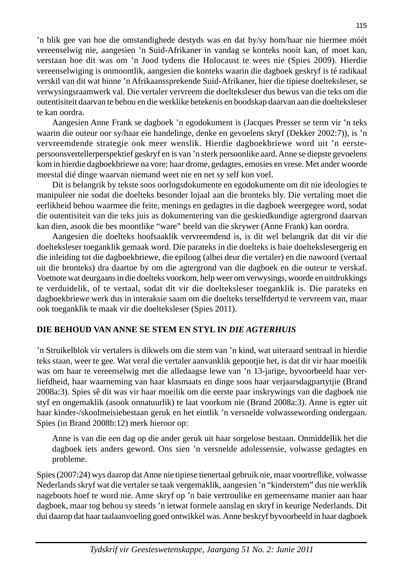'n blik gee van hoe die omstandighede destyds was en dat hy/sy hom/haar nie hiermee móét vereenselwig nie, aangesien 'n Suid-Afrikaner in vandag se konteks nooit kan, of moet kan, verstaan hoe dit was om 'n Jood tydens die Holocaust te wees nie (Spies 2009). Hierdie vereenselwiging is onmoontlik, aangesien die konteks waarin die dagboek geskryf is té radikaal verskil van dit wat binne 'n Afrikaanssprekende Suid-Afrikaner, hier die tipiese doelteksleser, se verwysingsraamwerk val. Die vertaler vervreem die doelteksleser dus bewus van die teks om die outentisiteit daarvan te behou en die werklike betekenis en boodskap daarvan aan die doelteksleser te kan oordra.

 Aangesien Anne Frank se dagboek 'n egodokument is (Jacques Presser se term vir 'n teks waarin die outeur oor sy/haar eie handelinge, denke en gevoelens skryf (Dekker 2002:7)), is 'n vervreemdende strategie ook meer wenslik. Hierdie dagboekbriewe word uit 'n eerstepersoonsvertellerperspektief geskryf en is van 'n sterk persoonlike aard. Anne se diepste gevoelens kom in hierdie dagboekbriewe na vore: haar drome, gedagtes, emosies en vrese. Met ander woorde meestal dié dinge waarvan niemand weet nie en net sy self kon voel.

 Dit is belangrik by tekste soos oorlogsdokumente en egodokumente om dit nie ideologies te manipuleer nie sodat die doelteks besonder lojaal aan die bronteks bly. Die vertaling moet die eerlikheid behou waarmee die feite, menings en gedagtes in die dagboek weergegee word, sodat die outentisiteit van die teks juis as dokumentering van die geskiedkundige agtergrond daarvan kan dien, asook die bes moontlike "ware" beeld van die skrywer (Anne Frank) kan oordra.

 Aangesien die doelteks hoofsaaklik vervreemdend is, is dit wel belangrik dat dit vir die doelteksleser toeganklik gemaak word. Die parateks in die doelteks is baie doeltekslesergerig en die inleiding tot die dagboekbriewe, die epiloog (albei deur die vertaler) en die nawoord (vertaal uit die bronteks) dra daartoe by om die agtergrond van die dagboek en die outeur te verskaf. Voetnote wat deurgaans in die doelteks voorkom, help weer om verwysings, woorde en uitdrukkings te verduidelik, of te vertaal, sodat dit vir die doelteksleser toeganklik is. Die parateks en dagboekbriewe werk dus in interaksie saam om die doelteks terselfdertyd te vervreem van, maar ook toeganklik te maak vir die doelteksleser (Spies 2011).

# **DIE BEHOUD VAN ANNE SE STEM EN STYL IN** *DIE AGTERHUIS*

'n Struikelblok vir vertalers is dikwels om die stem van 'n kind, wat uiteraard sentraal in hierdie teks staan, weer te gee. Wat veral die vertaler aanvanklik gepootjie het, is dat dit vir haar moeilik was om haar te vereenselwig met die alledaagse lewe van 'n 13-jarige, byvoorbeeld haar verliefdheid, haar waarneming van haar klasmaats en dinge soos haar verjaarsdagpartytjie (Brand 2008a:3). Spies sê dit was vir haar moeilik om die eerste paar inskrywings van die dagboek nie styf en ongemaklik (asook onnatuurlik) te laat voorkom nie (Brand 2008a:3). Anne is egter uit haar kinder-/skoolmeisiebestaan geruk en het eintlik 'n versnelde volwassewording ondergaan. Spies (in Brand 2008b:12) merk hieroor op:

 Anne is van die een dag op die ander geruk uit haar sorgelose bestaan. Onmiddellik het die dagboek iets anders geword. Ons sien 'n versnelde adolessensie, volwasse gedagtes en probleme.

Spies (2007:24) wys daarop dat Anne nie tipiese tienertaal gebruik nie, maar voortreflike, volwasse Nederlands skryf wat die vertaler se taak vergemaklik, aangesien 'n "kinderstem" dus nie werklik nageboots hoef te word nie. Anne skryf op 'n baie vertroulike en gemeensame manier aan haar dagboek, maar tog behou sy steeds 'n ietwat formele aanslag en skryf in keurige Nederlands. Dit dui daarop dat haar taalaanvoeling goed ontwikkel was. Anne beskryf byvoorbeeld in haar dagboek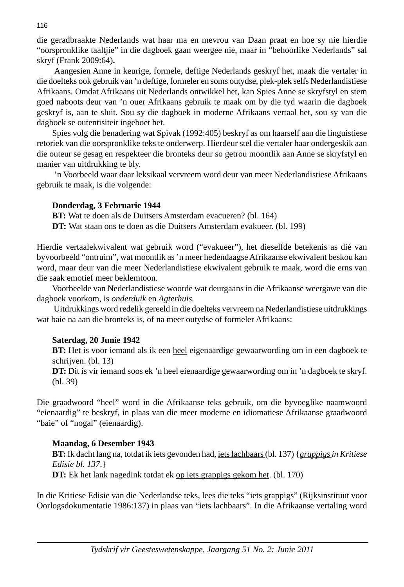die geradbraakte Nederlands wat haar ma en mevrou van Daan praat en hoe sy nie hierdie "oorspronk like taaltjie" in die dagboek gaan weergee nie, maar in "behoorlike Nederlands" sal skryf (Frank 2009:64)**.**

 Aangesien Anne in keurige, formele, deftige Nederlands geskryf het, maak die vertaler in die doelteks ook gebruik van 'n deftige, formeler en soms outydse, plek-plek selfs Nederlandistiese Afrikaans. Omdat Afrikaans uit Nederlands ontwikkel het, kan Spies Anne se skryfstyl en stem goed naboots deur van 'n ouer Afrikaans gebruik te maak om by die tyd waarin die dagboek geskryf is, aan te sluit. Sou sy die dagboek in moderne Afrikaans vertaal het, sou sy van die dagboek se outentisiteit ingeboet het.

 Spies volg die benadering wat Spivak (1992:405) beskryf as om haarself aan die linguistiese retoriek van die oorspronklike teks te onderwerp. Hierdeur stel die vertaler haar ondergeskik aan die outeur se gesag en respekteer die bronteks deur so getrou moontlik aan Anne se skryfstyl en manier van uitdrukking te bly.

 'n Voorbeeld waar daar leksikaal vervreem word deur van meer Nederlandistiese Afrikaans gebruik te maak, is die volgende:

## **Donderdag, 3 Februarie 1944**

 **BT:** Wat te doen als de Duitsers Amsterdam evacueren? (bl. 164)

**DT:** Wat staan ons te doen as die Duitsers Amsterdam evakueer. (bl. 199)

Hierdie vertaalekwivalent wat gebruik word ("evakueer"), het dieselfde betekenis as dié van byvoorbeeld "ontruim", wat moontlik as 'n meer hedendaagse Afrikaanse ekwivalent beskou kan word, maar deur van die meer Nederlandistiese ekwivalent gebruik te maak, word die erns van die saak emotief meer beklemtoon.

 Voorbeelde van Nederlandistiese woorde wat deurgaans in die Afrikaanse weergawe van die dagboek voorkom, is *onderduik* en *Agterhuis.*

 Uitdrukkings word redelik gereeld in die doelteks vervreem na Nederlandistiese uitdrukkings wat baie na aan die bronteks is, of na meer outydse of formeler Afrikaans:

## **Saterdag, 20 Junie 1942**

**BT:** Het is voor iemand als ik een heel eigenaardige gewaarwording om in een dagboek te schrijven. (bl. 13)

 **DT:** Dit is vir iemand soos ek 'n heel eienaardige gewaarwording om in 'n dagboek te skryf. (bl. 39)

Die graadwoord "heel" word in die Afrikaanse teks gebruik, om die byvoeglike naamwoord "eienaardig" te beskryf, in plaas van die meer moderne en idiomatiese Afrikaanse graadwoord "baie" of "nogal" (eienaardig).

## **Maandag, 6 Desember 1943**

 **BT:** Ik dacht lang na, totdat ik iets gevonden had, iets lachbaars (bl. 137) {*grappigs in Kritiese Edisie bl. 137*.} **DT:** Ek het lank nagedink totdat ek op iets grappigs gekom het. (bl. 170)

In die Kritiese Edisie van die Nederlandse teks, lees die teks "iets grappigs" (Rijksinstituut voor Oorlogsdokumentatie 1986:137) in plaas van "iets lachbaars". In die Afrikaanse vertaling word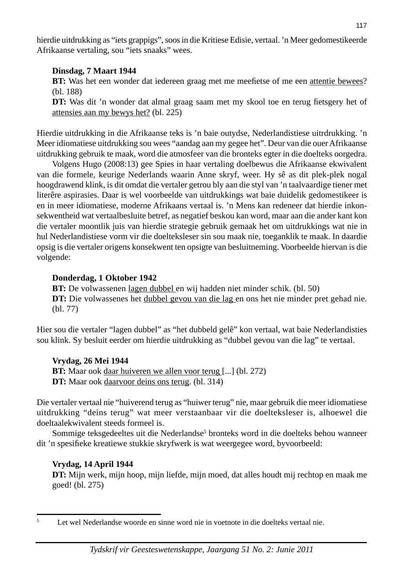hierdie uitdrukking as "iets grappigs", soos in die Kritiese Edisie, vertaal. 'n Meer gedomestikeerde Afrikaanse vertaling, sou "iets snaaks" wees.

## **Dinsdag, 7 Maart 1944**

**BT:** Was het een wonder dat iedereen graag met me meefietse of me een attentie bewees? (bl. 188)

**DT:** Was dit 'n wonder dat almal graag saam met my skool toe en terug fietsgery het of attensies aan my bewys het? (bl. 225)

Hierdie uitdrukking in die Afrikaanse teks is 'n baie outydse, Nederlandistiese uitrdrukking. 'n Meer idiomatiese uitdrukking sou wees "aandag aan my gegee het". Deur van die ouer Afrikaanse uitdrukking gebruik te maak, word die atmosfeer van die bronteks egter in die doelteks oorgedra.

Volgens Hugo (2008:13) gee Spies in haar vertaling doelbewus die Afrikaanse ekwivalent van die formele, keurige Nederlands waarin Anne skryf, weer. Hy sê as dit plek-plek nogal hoogdrawend klink, is dit omdat die vertaler getrou bly aan die styl van 'n taalvaardige tiener met literêre aspirasies. Daar is wel voorbeelde van uitdrukkings wat baie duidelik gedomestikeer is en in meer idiomatiese, moderne Afrikaans vertaal is. 'n Mens kan redeneer dat hierdie inkonsekwentheid wat vertaalbesluite betref, as negatief beskou kan word, maar aan die ander kant kon die vertaler moontlik juis van hierdie strategie gebruik gemaak het om uitdrukkings wat nie in hul Nederlandistiese vorm vir die doelteksleser sin sou maak nie, toeganklik te maak. In daardie opsig is die vertaler origens konsekwent ten opsigte van besluitneming. Voorbeelde hiervan is die volgende:

# **Donderdag, 1 Oktober 1942**

**BT:** De volwassenen lagen dubbel en wij hadden niet minder schik. (bl. 50)  **DT:** Die volwassenes het dubbel gevou van die lag en ons het nie minder pret gehad nie. (bl. 77)

Hier sou die vertaler "lagen dubbel" as "het dubbeld gelê" kon vertaal, wat baie Nederlandisties sou klink. Sy besluit eerder om hierdie uitdrukking as "dubbel gevou van die lag" te vertaal.

# **Vrydag, 26 Mei 1944**

**BT:** Maar ook daar huiveren we allen voor terug [...] (bl. 272)  **DT:** Maar ook daarvoor deins ons terug. (bl. 314)

Die vertaler vertaal nie "huiverend terug as "huiwer terug" nie, maar gebruik die meer idiomatiese uitdrukking "deins terug" wat meer verstaanbaar vir die doelteksleser is, alhoewel die doeltaalekwivalent steeds formeel is.

Sommige teksgedeeltes uit die Nederlandse<sup>5</sup> bronteks word in die doelteks behou wanneer dit 'n spesifieke kreatiewe stukkie skryfwerk is wat weergegee word, byvoorbeeld:

# **Vrydag, 14 April 1944**

 **DT:** Mijn werk, mijn hoop, mijn liefde, mijn moed, dat alles houdt mij rechtop en maak me goed! (bl. 275)

<sup>5</sup> Let wel Nederlandse woorde en sinne word nie in voetnote in die doelteks vertaal nie.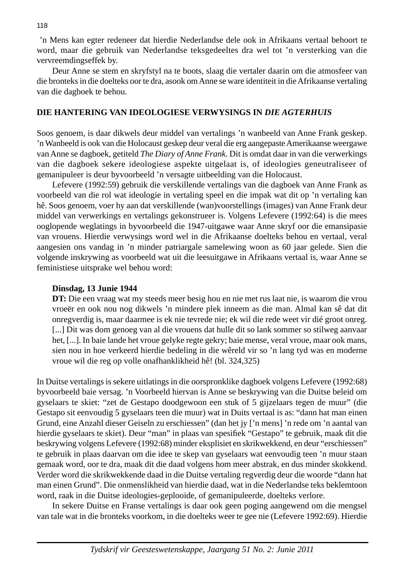'n Mens kan egter redeneer dat hierdie Nederlandse dele ook in Afrikaans vertaal behoort te word, maar die gebruik van Nederlandse teksgedeeltes dra wel tot 'n versterking van die vervreemdings effek by.

 Deur Anne se stem en skryfstyl na te boots, slaag die vertaler daarin om die atmosfeer van die bronteks in die doelteks oor te dra, asook om Anne se ware identiteit in die Afrikaanse vertaling van die dagboek te behou.

#### **DIE HANTERING VAN IDEOLOGIESE VERWYSINGS IN** *DIE AGTERHUIS*

Soos genoem, is daar dikwels deur middel van vertalings 'n wanbeeld van Anne Frank geskep. 'n Wanbeeld is ook van die Holocaust geskep deur veral die erg aangepaste Amerikaanse weergawe van Anne se dagboek, getiteld *The Diary of Anne Frank*. Dit is omdat daar in van die verwerkings van die dagboek sekere ideologiese aspekte uitgelaat is, of ideologies geneutraliseer of gemanipuleer is deur byvoorbeeld 'n versagte uitbeelding van die Holocaust.

 Lefevere (1992:59) gebruik die verskillende vertalings van die dagboek van Anne Frank as voorbeeld van die rol wat ideologie in vertaling speel en die impak wat dit op 'n vertaling kan hê. Soos genoem, voer hy aan dat verskillende (wan)voorstellings (images) van Anne Frank deur middel van verwerkings en vertalings gekonstrueer is. Volgens Lefevere (1992:64) is die mees ooglopende weglatings in byvoorbeeld die 1947-uitgawe waar Anne skryf oor die emansipasie van vrouens. Hierdie verwysings word wel in die Afrikaanse doelteks behou en vertaal, veral aangesien ons vandag in 'n minder patriargale samelewing woon as 60 jaar gelede. Sien die volgende inskrywing as voorbeeld wat uit die leesuitgawe in Afrikaans vertaal is, waar Anne se feministiese uitsprake wel behou word:

#### **Dinsdag, 13 Junie 1944**

 **DT:** Die een vraag wat my steeds meer besig hou en nie met rus laat nie, is waarom die vrou vroeër en ook nou nog dikwels 'n mindere plek inneem as die man. Almal kan sê dat dit onregverdig is, maar daarmee is ek nie tevrede nie; ek wil die rede weet vir dié groot onreg. [...] Dit was dom genoeg van al die vrouens dat hulle dit so lank sommer so stilweg aanvaar het, [...]. In baie lande het vroue gelyke regte gekry; baie mense, veral vroue, maar ook mans, sien nou in hoe verkeerd hierdie bedeling in die wêreld vir so 'n lang tyd was en moderne vroue wil die reg op volle onafhanklikheid hê! (bl. 324,325)

In Duitse vertalings is sekere uitlatings in die oorspronklike dagboek volgens Lefevere (1992:68) byvoorbeeld baie versag. 'n Voorbeeld hiervan is Anne se beskrywing van die Duitse beleid om gyselaars te skiet: "zet de Gestapo doodgewoon een stuk of 5 gijzelaars tegen de muur" (die Gestapo sit eenvoudig 5 gyselaars teen die muur) wat in Duits vertaal is as: "dann hat man einen Grund, eine Anzahl dieser Geiseln zu erschiessen" (dan het jy ['n mens] 'n rede om 'n aantal van hierdie gyselaars te skiet). Deur "man" in plaas van spesifiek "Gestapo" te gebruik, maak dit die beskrywing volgens Lefevere (1992:68) minder eksplisiet en skrikwekkend, en deur "erschiessen" te gebruik in plaas daarvan om die idee te skep van gyselaars wat eenvoudig teen 'n muur staan gemaak word, oor te dra, maak dit die daad volgens hom meer abstrak, en dus minder skokkend. Verder word die skrikwekkende daad in die Duitse vertaling regverdig deur die woorde "dann hat man einen Grund". Die onmenslikheid van hierdie daad, wat in die Nederlandse teks beklemtoon word, raak in die Duitse ideologies-geplooide, of gemanipuleerde, doelteks verlore.

 In sekere Duitse en Franse vertalings is daar ook geen poging aangewend om die mengsel van tale wat in die bronteks voorkom, in die doelteks weer te gee nie (Lefevere 1992:69). Hierdie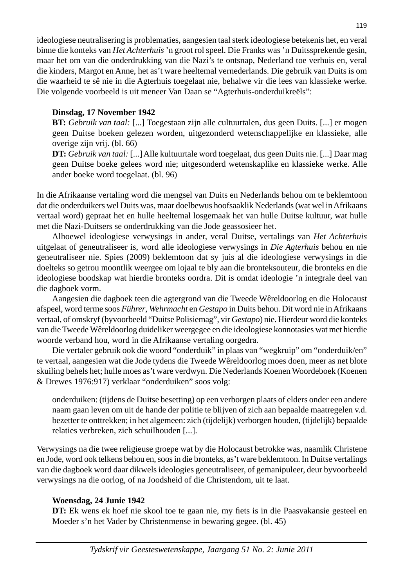ideologiese neutralisering is problematies, aangesien taal sterk ideologiese betekenis het, en veral binne die konteks van *Het Achterhuis* 'n groot rol speel. Die Franks was 'n Duitssprekende gesin, maar het om van die onderdrukking van die Nazi's te ontsnap, Nederland toe verhuis en, veral die kinders, Margot en Anne, het as't ware heeltemal vernederlands. Die gebruik van Duits is om die waarheid te sê nie in die Agterhuis toegelaat nie, behalwe vir die lees van klassieke werke. Die volgende voorbeeld is uit meneer Van Daan se "Agterhuis-onderduikreëls":

# **Dinsdag, 17 November 1942**

 **BT:** *Gebruik van taal:* [...] Toegestaan zijn alle cultuurtalen, dus geen Duits. [...] er mogen geen Duitse boeken gelezen worden, uitgezonderd wetenschappelijke en klassieke, alle overige zijn vrij. (bl. 66)

 **DT:** *Gebruik van taal:* [...] Alle kultuurtale word toegelaat, dus geen Duits nie. [...] Daar mag geen Duitse boeke gelees word nie; uitgesonderd wetenskaplike en klassieke werke. Alle ander boeke word toegelaat. (bl. 96)

In die Afrikaanse vertaling word die mengsel van Duits en Nederlands behou om te beklemtoon dat die onderduikers wel Duits was, maar doelbewus hoofsaaklik Nederlands (wat wel in Afrikaans vertaal word) gepraat het en hulle heeltemal losgemaak het van hulle Duitse kultuur, wat hulle met die Nazi-Duitsers se onderdrukking van die Jode geassosieer het.

 Alhoewel ideologiese verwysings in ander, veral Duitse, vertalings van *Het Achterhuis*  uitgelaat of geneutraliseer is, word alle ideologiese verwysings in *Die Agterhuis* behou en nie geneutraliseer nie. Spies (2009) beklemtoon dat sy juis al die ideologiese verwysings in die doelteks so getrou moontlik weergee om lojaal te bly aan die bronteksouteur, die bronteks en die ideologiese boodskap wat hierdie bronteks oordra. Dit is omdat ideologie 'n integrale deel van die dagboek vorm.

 Aangesien die dagboek teen die agtergrond van die Tweede Wêreldoorlog en die Holocaust afspeel, word terme soos *Führer*, *Wehrmacht* en *Gestapo* in Duits behou. Dit word nie in Afrikaans vertaal, of omskryf (byvoorbeeld "Duitse Polisiemag", vir *Gestapo*) nie. Hierdeur word die konteks van die Tweede Wêreldoorlog duideliker weergegee en die ideologiese konnotasies wat met hierdie woorde verband hou, word in die Afrikaanse vertaling oorgedra.

 Die vertaler gebruik ook die woord "onderduik" in plaas van "wegkruip" om "onderduik/en" te vertaal, aangesien wat die Jode tydens die Tweede Wêreldoorlog moes doen, meer as net blote skuiling behels het; hulle moes as't ware verdwyn. Die Nederlands Koenen Woordeboek (Koenen & Drewes 1976:917) verklaar "onderduiken" soos volg:

 onderduiken: (tijdens de Duitse besetting) op een verborgen plaats of elders onder een andere naam gaan leven om uit de hande der politie te blijven of zich aan bepaalde maatregelen v.d. bezetter te onttrekken; in het algemeen: zich (tijdelijk) verborgen houden, (tijdelijk) bepaalde relaties verbreken, zich schuilhouden [...].

Verwysings na die twee religieuse groepe wat by die Holocaust betrokke was, naamlik Christene en Jode, word ook telkens behou en, soos in die bronteks, as't ware beklemtoon. In Duitse vertalings van die dagboek word daar dikwels ideologies geneutraliseer, of gemanipuleer, deur byvoorbeeld verwysings na die oorlog, of na Joodsheid of die Christendom, uit te laat.

# **Woensdag, 24 Junie 1942**

**DT:** Ek wens ek hoef nie skool toe te gaan nie, my fiets is in die Paasvakansie gesteel en Moeder s'n het Vader by Christenmense in bewaring gegee. (bl. 45)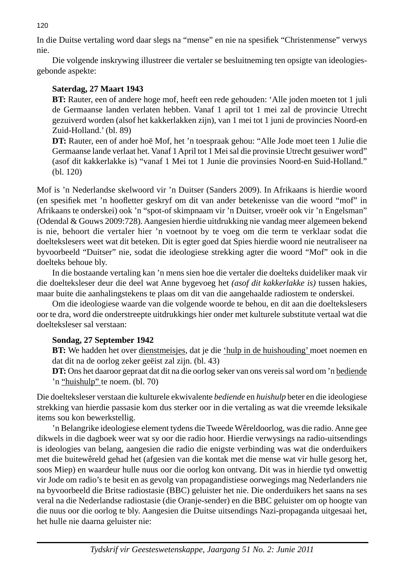In die Duitse vertaling word daar slegs na "mense" en nie na spesifiek "Christenmense" verwys nie.

 Die volgende inskrywing illustreer die vertaler se besluitneming ten opsigte van ideologiesgebonde aspekte:

# **Saterdag, 27 Maart 1943**

**BT:** Rauter, een of andere hoge mof, heeft een rede gehouden: 'Alle joden moeten tot 1 juli de Germaanse landen verlaten hebben. Vanaf 1 april tot 1 mei zal de provincie Utrecht gezuiverd worden (alsof het kakkerlakken zijn), van 1 mei tot 1 juni de provincies Noord-en Zuid-Holland.' (bl. 89)

 **DT:** Rauter, een of ander hoë Mof, het 'n toespraak gehou: "Alle Jode moet teen 1 Julie die Germaanse lande verlaat het. Vanaf 1 April tot 1 Mei sal die provinsie Utrecht gesuiwer word" (asof dit kakkerlakke is) "vanaf 1 Mei tot 1 Junie die provinsies Noord-en Suid-Holland." (bl. 120)

Mof is 'n Nederlandse skelwoord vir 'n Duitser (Sanders 2009). In Afrikaans is hierdie woord (en spesifiek met 'n hoofletter geskryf om dit van ander betekenisse van die woord "mof" in Afrikaans te onderskei) ook 'n "spot-of skimpnaam vir 'n Duitser, vroeër ook vir 'n Engelsman" (Odendal & Gouws 2009:728). Aangesien hierdie uitdrukking nie vandag meer algemeen bekend is nie, behoort die vertaler hier 'n voetnoot by te voeg om die term te verklaar sodat die doeltekslesers weet wat dit beteken. Dit is egter goed dat Spies hierdie woord nie neutraliseer na byvoorbeeld "Duitser" nie, sodat die ideologiese strekking agter die woord "Mof" ook in die doelteks behoue bly.

 In die bostaande vertaling kan 'n mens sien hoe die vertaler die doelteks duideliker maak vir die doelteksleser deur die deel wat Anne bygevoeg het *(asof dit kakkerlakke is)* tussen hakies, maar buite die aanhalingstekens te plaas om dit van die aangehaalde radiostem te onderskei.

 Om die ideologiese waarde van die volgende woorde te behou, en dit aan die doeltekslesers oor te dra, word die onderstreepte uitdrukkings hier onder met kulturele substitute vertaal wat die doelteksleser sal verstaan:

# **Sondag, 27 September 1942**

**BT:** We hadden het over dienstmeisjes, dat je die 'hulp in de huishouding' moet noemen en dat dit na de oorlog zeker geëist zal zijn. (bl. 43)

 **DT:** Ons het daaroor gepraat dat dit na die oorlog seker van ons vereis sal word om 'n bediende 'n "huishulp" te noem. (bl. 70)

Die doelteksleser verstaan die kulturele ekwivalente *bediende* en *huishulp* beter en die ideologiese strekking van hierdie passasie kom dus sterker oor in die vertaling as wat die vreemde leksikale items sou kon bewerkstellig.

 'n Belangrike ideologiese element tydens die Tweede Wêreldoorlog, was die radio. Anne gee dikwels in die dagboek weer wat sy oor die radio hoor. Hierdie verwysings na radio-uitsendings is ideologies van belang, aangesien die radio die enigste verbinding was wat die onderduikers met die buitewêreld gehad het (afgesien van die kontak met die mense wat vir hulle gesorg het, soos Miep) en waardeur hulle nuus oor die oorlog kon ontvang. Dit was in hierdie tyd onwettig vir Jode om radio's te besit en as gevolg van propagandistiese oorwegings mag Nederlanders nie na byvoorbeeld die Britse radiostasie (BBC) geluister het nie. Die onderduikers het saans na ses veral na die Nederlandse radiostasie (die Oranje-sender) en die BBC geluister om op hoogte van die nuus oor die oorlog te bly. Aangesien die Duitse uitsendings Nazi-propaganda uitgesaai het, het hulle nie daarna geluister nie: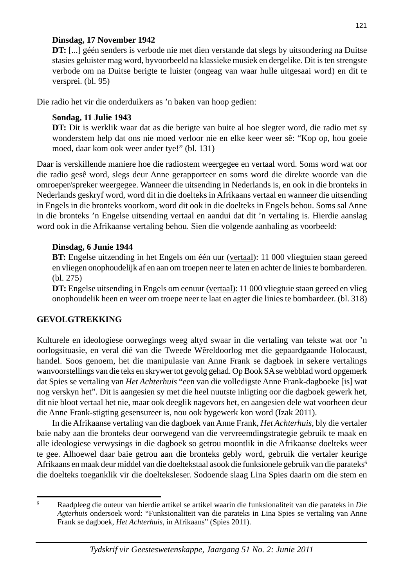## **Dinsdag, 17 November 1942**

 **DT:** [...] géén senders is verbode nie met dien verstande dat slegs by uitsondering na Duitse stasies geluister mag word, byvoorbeeld na klassieke musiek en dergelike. Dit is ten strengste verbode om na Duitse berigte te luister (ongeag van waar hulle uitgesaai word) en dit te versprei. (bl. 95)

Die radio het vir die onderduikers as 'n baken van hoop gedien:

# **Sondag, 11 Julie 1943**

**DT:** Dit is werklik waar dat as die berigte van buite al hoe slegter word, die radio met sy wonderstem help dat ons nie moed verloor nie en elke keer weer sê: "Kop op, hou goeie moed, daar kom ook weer ander tye!" (bl. 131)

Daar is verskillende maniere hoe die radiostem weergegee en vertaal word. Soms word wat oor die radio gesê word, slegs deur Anne gerapporteer en soms word die direkte woorde van die omroeper/spreker weergegee. Wanneer die uitsending in Nederlands is, en ook in die bronteks in Nederlands geskryf word, word dit in die doelteks in Afrikaans vertaal en wanneer die uitsending in Engels in die bronteks voorkom, word dit ook in die doelteks in Engels behou. Soms sal Anne in die bronteks 'n Engelse uitsending vertaal en aandui dat dit 'n vertaling is. Hierdie aanslag word ook in die Afrikaanse vertaling behou. Sien die volgende aanhaling as voorbeeld:

## **Dinsdag, 6 Junie 1944**

 **BT:** Engelse uitzending in het Engels om één uur (vertaal): 11 000 vliegtuien staan gereed en vliegen onophoudelijk af en aan om troepen neer te laten en achter de linies te bombarderen. (bl. 275)

**DT:** Engelse uitsending in Engels om eenuur (vertaal): 11 000 vliegtuie staan gereed en vlieg onophoudelik heen en weer om troepe neer te laat en agter die linies te bombardeer. (bl. 318)

# **GEVOLGTREKKING**

Kulturele en ideologiese oorwegings weeg altyd swaar in die vertaling van tekste wat oor 'n oorlogsituasie, en veral dié van die Tweede Wêreldoorlog met die gepaardgaande Holocaust, handel. Soos genoem, het die manipulasie van Anne Frank se dagboek in sekere vertalings wanvoorstellings van die teks en skrywer tot gevolg gehad. Op Book SA se webblad word opgemerk dat Spies se vertaling van *Het Achterhuis* "een van die volledigste Anne Frank-dagboeke [is] wat nog verskyn het". Dit is aangesien sy met die heel nuutste inligting oor die dagboek gewerk het, dit nie bloot vertaal het nie, maar ook deeglik nagevors het, en aangesien dele wat voorheen deur die Anne Frank-stigting gesensureer is, nou ook bygewerk kon word (Izak 2011).

 In die Afrikaanse vertaling van die dagboek van Anne Frank, *Het Achterhuis*, bly die vertaler baie naby aan die bronteks deur oorwegend van die vervreemdingstrategie gebruik te maak en alle ideologiese verwysings in die dagboek so getrou moontlik in die Afrikaanse doelteks weer te gee. Alhoewel daar baie getrou aan die bronteks gebly word, gebruik die vertaler keurige Afrikaans en maak deur middel van die doeltekstaal asook die funksionele gebruik van die parateks<sup>6</sup> die doelteks toeganklik vir die doelteksleser. Sodoende slaag Lina Spies daarin om die stem en

<sup>6</sup> Raadpleeg die outeur van hierdie artikel se artikel waarin die funksionaliteit van die parateks in *Die Agterhuis* ondersoek word: "Funksionaliteit van die parateks in Lina Spies se vertaling van Anne Frank se dagboek, *Het Achterhuis*, in Afrikaans" (Spies 2011).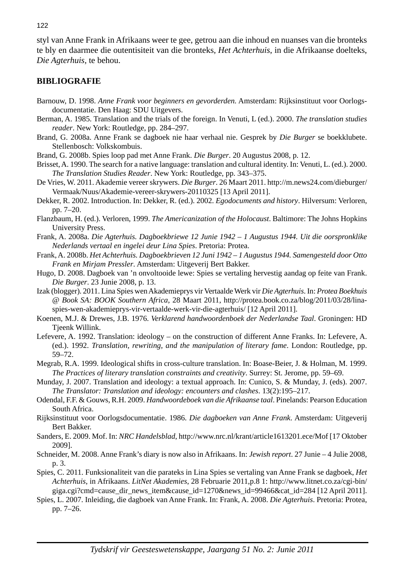styl van Anne Frank in Afrikaans weer te gee, getrou aan die inhoud en nuanses van die bronteks te bly en daarmee die outentisiteit van die bronteks*, Het Achterhuis*, in die Afrikaanse doelteks, *Die Agterhuis,* te behou.

#### **BIBLIOGRAFIE**

- Barnouw, D. 1998. *Anne Frank voor beginners en gevorderden.* Amsterdam: Rijksinstituut voor Oorlogsdocumentatie. Den Haag: SDU Uitgevers.
- Berman, A. 1985. Translation and the trials of the foreign. In Venuti, L (ed.). 2000. *The translation studies reader*. New York: Routledge, pp. 284–297.
- Brand, G. 2008a. Anne Frank se dagboek nie haar verhaal nie. Gesprek by *Die Burger* se boekklubete. Stellenbosch: Volkskombuis.
- Brand, G. 2008b. Spies loop pad met Anne Frank. *Die Burger*. 20 Augustus 2008, p. 12.
- Brisset, A. 1990. The search for a native language: translation and cultural identity. In: Venuti, L. (ed.). 2000. *The Translation Studies Reader*. New York: Routledge, pp. 343–375.
- De Vries, W. 2011. Akademie vereer skrywers. *Die Burger*. 26 Maart 2011. http://m.news24.com/dieburger/ Vermaak/Nuus/Akademie-vereer-skrywers-20110325 [13 April 2011].
- Dekker, R. 2002. Introduction. In: Dekker, R. (ed.). 2002. *Egodocuments and history*. Hilversum: Verloren, pp. 7–20.
- Flanzbaum, H. (ed.). Verloren, 1999. *The Americanization of the Holocaust*. Baltimore: The Johns Hopkins University Press.
- Frank, A. 2008a. *Die Agterhuis. Dagboekbriewe 12 Junie 1942 1 Augustus 1944. Uit die oorspronklike Nederlands vertaal en ingelei deur Lina Spies*. Pretoria: Protea.
- Frank, A. 2008b. *Het Achterhuis. Dagboekbrieven 12 Juni 1942 1 Augustus 1944. Samengesteld door Otto Frank en Mirjam Pressler*. Amsterdam: Uitgeverij Bert Bakker.
- Hugo, D. 2008. Dagboek van 'n onvoltooide lewe: Spies se vertaling hervestig aandag op feite van Frank. *Die Burger*. 23 Junie 2008, p. 13.
- Izak (blogger). 2011. Lina Spies wen Akademieprys vir Vertaalde Werk vir *Die Agterhuis*. In: *Protea Boekhuis @ Book SA: BOOK Southern Africa*, 28 Maart 2011, http://protea.book.co.za/blog/2011/03/28/linaspies-wen-akademieprys-vir-vertaalde-werk-vir-die-agterhuis/ [12 April 2011].
- Koenen, M.J. & Drewes, J.B. 1976. *Verklarend handwoordenboek der Nederlandse Taal*. Groningen: HD Tjeenk Willink.
- Lefevere, A. 1992. Translation: ideology on the construction of different Anne Franks. In: Lefevere, A. (ed.). 1992. *Translation, rewriting, and the manipulation of literary fame*. London: Routledge, pp. 59–72.
- Megrab, R.A. 1999. Ideological shifts in cross-culture translation. In: Boase-Beier, J. & Holman, M. 1999. *The Practices of literary translation constraints and creativity*. Surrey: St. Jerome, pp. 59–69.
- Munday, J. 2007. Translation and ideology: a textual approach. In: Cunico, S. & Munday, J. (eds). 2007. *The Translator: Translation and ideology: encounters and clashes*. 13(2):195–217.
- Odendal, F.F. & Gouws, R.H. 2009. *Handwoordeboek van die Afrikaanse taal*. Pinelands: Pearson Education South Africa.
- Rijksinstituut voor Oorlogsdocumentatie. 1986. *Die dagboeken van Anne Frank*. Amsterdam: Uitgeverij Bert Bakker.
- Sanders, E. 2009. Mof. In: *NRC Handelsblad*, http://www.nrc.nl/krant/article1613201.ece/Mof [17 Oktober 2009].
- Schneider, M. 2008. Anne Frank's diary is now also in Afrikaans. In: *Jewish report*. 27 Junie 4 Julie 2008, p. 3.
- Spies, C. 2011. Funksionaliteit van die parateks in Lina Spies se vertaling van Anne Frank se dagboek, *Het Achterhuis*, in Afrikaans. *LitNet Akademies*, 28 Februarie 2011,p.8 1: http://www.litnet.co.za/cgi-bin/ giga.cgi?cmd=cause\_dir\_news\_item&cause\_id=1270&news\_id=99466&cat\_id=284 [12 April 2011].
- Spies, L. 2007. Inleiding, die dagboek van Anne Frank. In: Frank, A. 2008. *Die Agterhuis*. Pretoria: Protea, pp. 7–26.